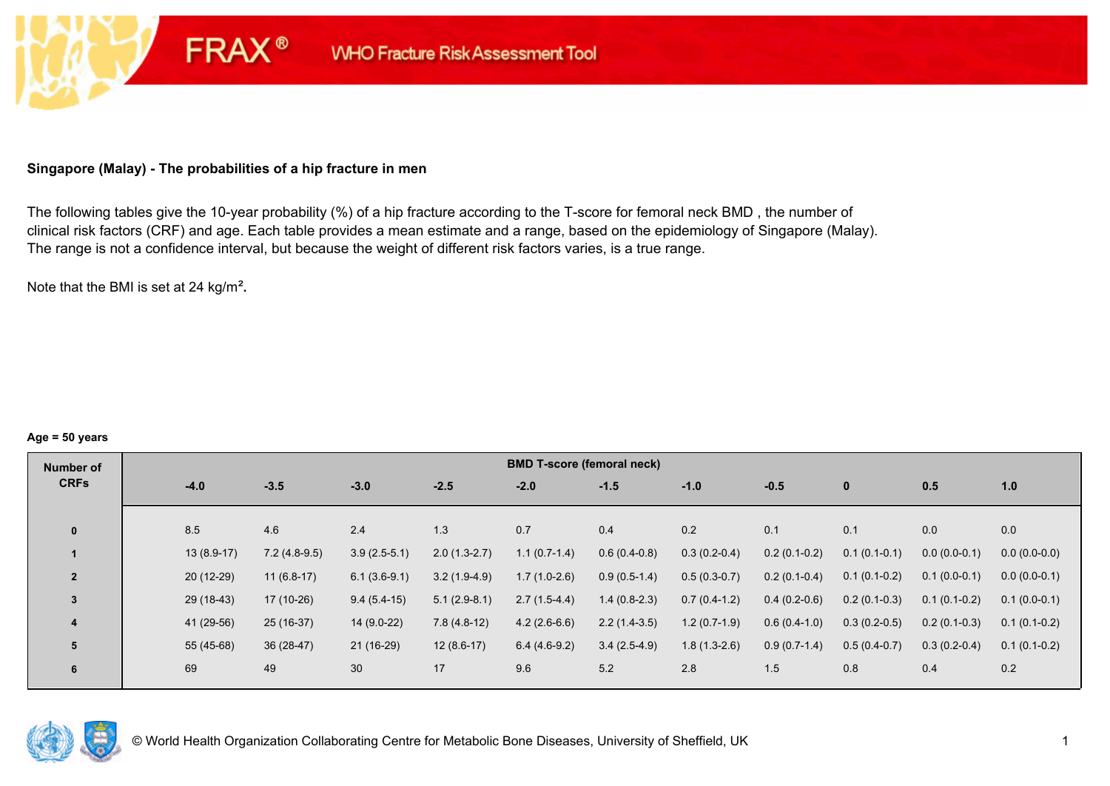# **Singapore (Malay) - The probabilities of a hip fracture in men**

**FRAX®** 

The following tables give the 10-year probability (%) of a hip fracture according to the T-score for femoral neck BMD , the number of clinical risk factors (CRF) and age. Each table provides a mean estimate and a range, based on the epidemiology of Singapore (Malay). The range is not a confidence interval, but because the weight of different risk factors varies, is a true range.

Note that the BMI is set at 24 kg/m²**.** 

#### **Age = 50 years**

| Number of      |              |                |                |                | <b>BMD T-score (femoral neck)</b> |                |                |                |                |                |                |
|----------------|--------------|----------------|----------------|----------------|-----------------------------------|----------------|----------------|----------------|----------------|----------------|----------------|
| <b>CRFs</b>    | $-4.0$       | $-3.5$         | $-3.0$         | $-2.5$         | $-2.0$                            | $-1.5$         | $-1.0$         | $-0.5$         | $\mathbf{0}$   | 0.5            | 1.0            |
|                |              |                |                |                |                                   |                |                |                |                |                |                |
| $\bf{0}$       | 8.5          | 4.6            | 2.4            | 1.3            | 0.7                               | 0.4            | 0.2            | 0.1            | 0.1            | 0.0            | 0.0            |
|                | $13(8.9-17)$ | $7.2(4.8-9.5)$ | $3.9(2.5-5.1)$ | $2.0(1.3-2.7)$ | $1.1(0.7-1.4)$                    | $0.6(0.4-0.8)$ | $0.3(0.2-0.4)$ | $0.2(0.1-0.2)$ | $0.1(0.1-0.1)$ | $0.0(0.0-0.1)$ | $0.0(0.0-0.0)$ |
| $\overline{2}$ | $20(12-29)$  | $11(6.8-17)$   | $6.1(3.6-9.1)$ | $3.2(1.9-4.9)$ | $1.7(1.0-2.6)$                    | $0.9(0.5-1.4)$ | $0.5(0.3-0.7)$ | $0.2(0.1-0.4)$ | $0.1(0.1-0.2)$ | $0.1(0.0-0.1)$ | $0.0(0.0-0.1)$ |
| 3              | 29 (18-43)   | 17 (10-26)     | $9.4(5.4-15)$  | $5.1(2.9-8.1)$ | $2.7(1.5-4.4)$                    | $1.4(0.8-2.3)$ | $0.7(0.4-1.2)$ | $0.4(0.2-0.6)$ | $0.2(0.1-0.3)$ | $0.1(0.1-0.2)$ | $0.1(0.0-0.1)$ |
| 4              | 41 (29-56)   | $25(16-37)$    | $14(9.0-22)$   | $7.8(4.8-12)$  | $4.2(2.6-6.6)$                    | $2.2(1.4-3.5)$ | $1.2(0.7-1.9)$ | $0.6(0.4-1.0)$ | $0.3(0.2-0.5)$ | $0.2(0.1-0.3)$ | $0.1(0.1-0.2)$ |
| 5              | 55 (45-68)   | $36(28-47)$    | $21(16-29)$    | $12(8.6-17)$   | $6.4(4.6-9.2)$                    | $3.4(2.5-4.9)$ | $1.8(1.3-2.6)$ | $0.9(0.7-1.4)$ | $0.5(0.4-0.7)$ | $0.3(0.2-0.4)$ | $0.1(0.1-0.2)$ |
| 6              | 69           | 49             | 30             | 17             | 9.6                               | 5.2            | 2.8            | 1.5            | 0.8            | 0.4            | 0.2            |

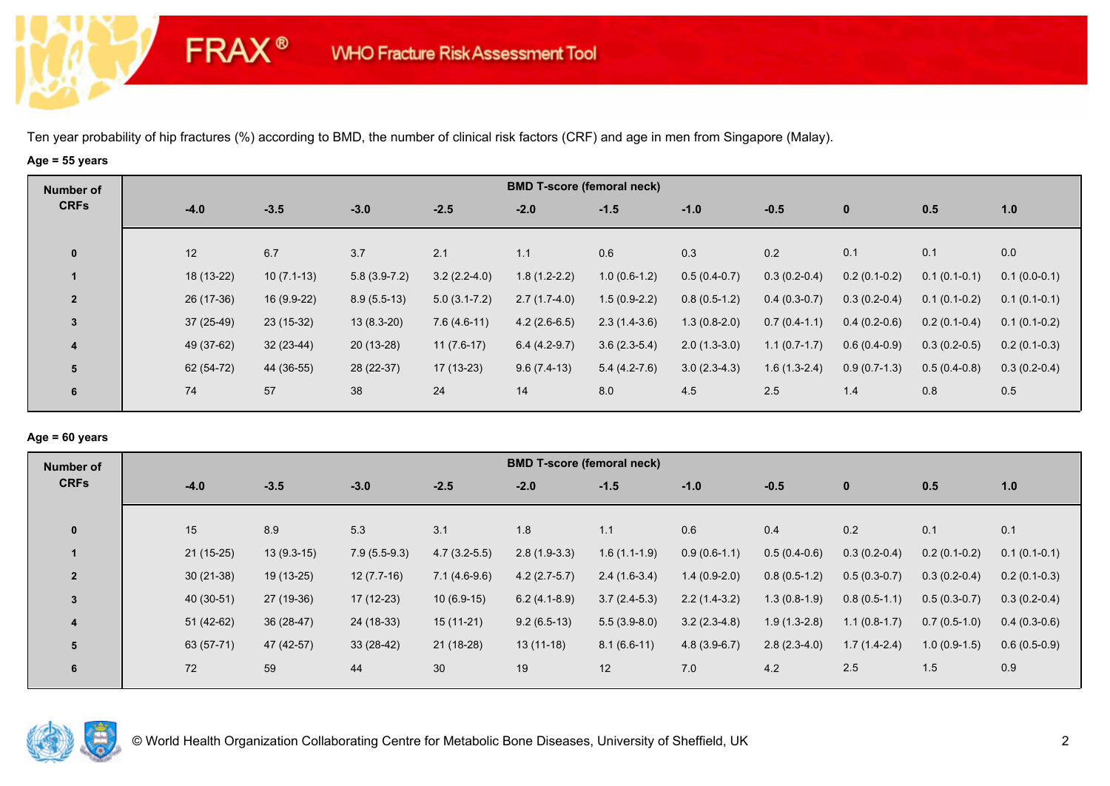# **Age = 55 years**

**FRAX®** 

| Number of      |             |              |                |                  |                | <b>BMD T-score (femoral neck)</b> |                |                |                |                |                |
|----------------|-------------|--------------|----------------|------------------|----------------|-----------------------------------|----------------|----------------|----------------|----------------|----------------|
| <b>CRFs</b>    | $-4.0$      | $-3.5$       | $-3.0$         | $-2.5$           | $-2.0$         | $-1.5$                            | $-1.0$         | $-0.5$         | $\mathbf 0$    | 0.5            | 1.0            |
| $\mathbf 0$    | 12          | 6.7          | 3.7            | 2.1              | 1.1            | 0.6                               | 0.3            | 0.2            | 0.1            | 0.1            | 0.0            |
|                | 18 (13-22)  | $10(7.1-13)$ | $5.8(3.9-7.2)$ | $3.2(2.2-4.0)$   | $1.8(1.2-2.2)$ | $1.0(0.6-1.2)$                    | $0.5(0.4-0.7)$ | $0.3(0.2-0.4)$ | $0.2(0.1-0.2)$ | $0.1(0.1-0.1)$ | $0.1(0.0-0.1)$ |
| $\overline{2}$ | 26 (17-36)  | 16 (9.9-22)  | $8.9(5.5-13)$  | $5.0(3.1 - 7.2)$ | $2.7(1.7-4.0)$ | $1.5(0.9-2.2)$                    | $0.8(0.5-1.2)$ | $0.4(0.3-0.7)$ | $0.3(0.2-0.4)$ | $0.1(0.1-0.2)$ | $0.1(0.1-0.1)$ |
| 3              | $37(25-49)$ | $23(15-32)$  | $13(8.3-20)$   | $7.6(4.6-11)$    | $4.2(2.6-6.5)$ | $2.3(1.4-3.6)$                    | $1.3(0.8-2.0)$ | $0.7(0.4-1.1)$ | $0.4(0.2-0.6)$ | $0.2(0.1-0.4)$ | $0.1(0.1-0.2)$ |
| 4              | 49 (37-62)  | $32(23-44)$  | $20(13-28)$    | $11(7.6-17)$     | $6.4(4.2-9.7)$ | $3.6(2.3-5.4)$                    | $2.0(1.3-3.0)$ | $1.1(0.7-1.7)$ | $0.6(0.4-0.9)$ | $0.3(0.2-0.5)$ | $0.2(0.1-0.3)$ |
| 5              | 62 (54-72)  | 44 (36-55)   | 28 (22-37)     | 17 (13-23)       | $9.6(7.4-13)$  | $5.4(4.2-7.6)$                    | $3.0(2.3-4.3)$ | $1.6(1.3-2.4)$ | $0.9(0.7-1.3)$ | $0.5(0.4-0.8)$ | $0.3(0.2-0.4)$ |
| 6              | 74          | 57           | 38             | 24               | 14             | 8.0                               | 4.5            | 2.5            | 1.4            | 0.8            | 0.5            |

# **Age = 60 years**

| Number of      |             |              |                |                | <b>BMD T-score (femoral neck)</b> |                |                |                |                |                |                |
|----------------|-------------|--------------|----------------|----------------|-----------------------------------|----------------|----------------|----------------|----------------|----------------|----------------|
| <b>CRFs</b>    | $-4.0$      | $-3.5$       | $-3.0$         | $-2.5$         | $-2.0$                            | $-1.5$         | $-1.0$         | $-0.5$         | $\mathbf{0}$   | 0.5            | 1.0            |
| $\mathbf{0}$   | 15          | 8.9          | 5.3            | 3.1            | 1.8                               | 1.1            | 0.6            | 0.4            | 0.2            | 0.1            | 0.1            |
|                | $21(15-25)$ | $13(9.3-15)$ | $7.9(5.5-9.3)$ | $4.7(3.2-5.5)$ | $2.8(1.9-3.3)$                    | $1.6(1.1-1.9)$ | $0.9(0.6-1.1)$ | $0.5(0.4-0.6)$ | $0.3(0.2-0.4)$ | $0.2(0.1-0.2)$ | $0.1(0.1-0.1)$ |
| $\overline{2}$ | $30(21-38)$ | 19 (13-25)   | $12(7.7-16)$   | $7.1(4.6-9.6)$ | $4.2(2.7-5.7)$                    | $2.4(1.6-3.4)$ | $1.4(0.9-2.0)$ | $0.8(0.5-1.2)$ | $0.5(0.3-0.7)$ | $0.3(0.2-0.4)$ | $0.2(0.1-0.3)$ |
| 3              | 40 (30-51)  | 27 (19-36)   | $17(12-23)$    | $10(6.9-15)$   | $6.2(4.1-8.9)$                    | $3.7(2.4-5.3)$ | $2.2(1.4-3.2)$ | $1.3(0.8-1.9)$ | $0.8(0.5-1.1)$ | $0.5(0.3-0.7)$ | $0.3(0.2-0.4)$ |
| 4              | $51(42-62)$ | $36(28-47)$  | 24 (18-33)     | $15(11-21)$    | $9.2(6.5-13)$                     | $5.5(3.9-8.0)$ | $3.2(2.3-4.8)$ | $1.9(1.3-2.8)$ | $1.1(0.8-1.7)$ | $0.7(0.5-1.0)$ | $0.4(0.3-0.6)$ |
| 5              | 63 (57-71)  | 47 (42-57)   | $33(28-42)$    | 21 (18-28)     | $13(11-18)$                       | $8.1(6.6-11)$  | $4.8(3.9-6.7)$ | $2.8(2.3-4.0)$ | $1.7(1.4-2.4)$ | $1.0(0.9-1.5)$ | $0.6(0.5-0.9)$ |
| 6              | 72          | 59           | 44             | 30             | 19                                | 12             | 7.0            | 4.2            | 2.5            | 1.5            | 0.9            |

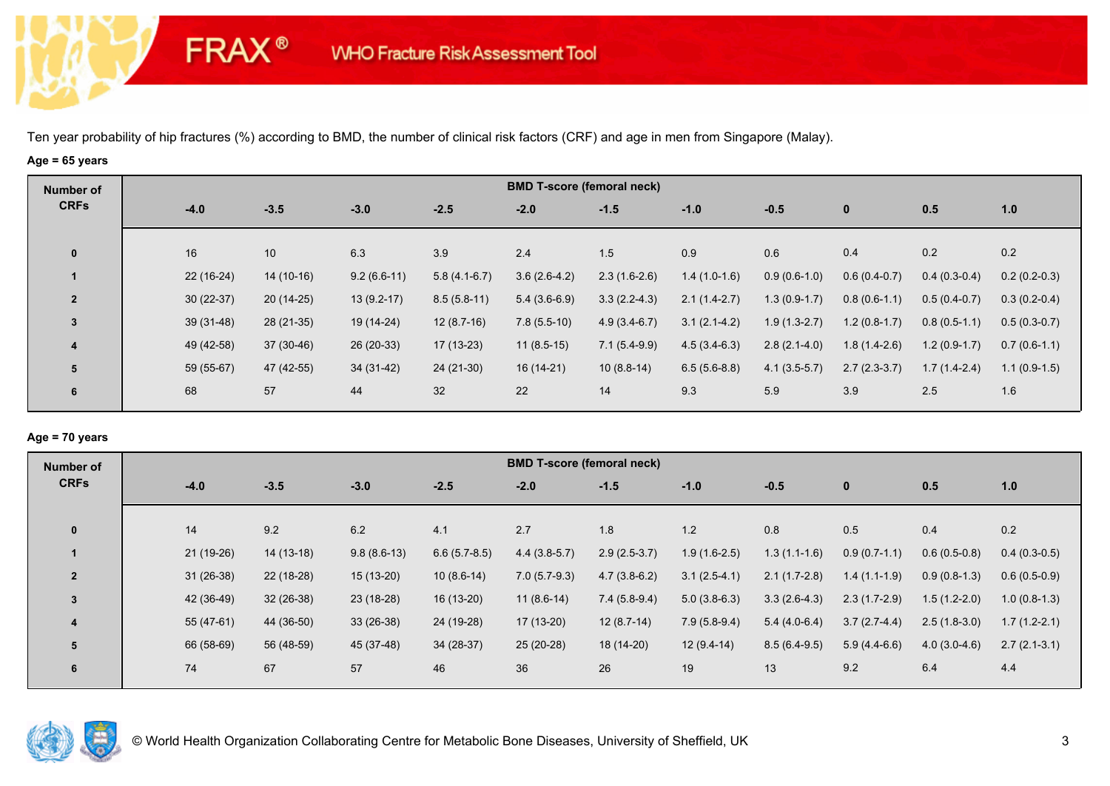# **Age = 65 years**

**FRAX®** 

| Number of      |             |                 |               |                | <b>BMD T-score (femoral neck)</b> |                |                |                |                |                |                |
|----------------|-------------|-----------------|---------------|----------------|-----------------------------------|----------------|----------------|----------------|----------------|----------------|----------------|
| <b>CRFs</b>    | $-4.0$      | $-3.5$          | $-3.0$        | $-2.5$         | $-2.0$                            | $-1.5$         | $-1.0$         | $-0.5$         | $\mathbf 0$    | 0.5            | 1.0            |
| $\mathbf 0$    | 16          | 10 <sup>°</sup> | 6.3           | 3.9            | 2.4                               | 1.5            | 0.9            | 0.6            | 0.4            | 0.2            | 0.2            |
|                | $22(16-24)$ | $14(10-16)$     | $9.2(6.6-11)$ | $5.8(4.1-6.7)$ | $3.6(2.6-4.2)$                    | $2.3(1.6-2.6)$ | $1.4(1.0-1.6)$ | $0.9(0.6-1.0)$ | $0.6(0.4-0.7)$ | $0.4(0.3-0.4)$ | $0.2(0.2-0.3)$ |
| $\overline{2}$ | $30(22-37)$ | $20(14-25)$     | $13(9.2-17)$  | $8.5(5.8-11)$  | $5.4(3.6-6.9)$                    | $3.3(2.2-4.3)$ | $2.1(1.4-2.7)$ | $1.3(0.9-1.7)$ | $0.8(0.6-1.1)$ | $0.5(0.4-0.7)$ | $0.3(0.2-0.4)$ |
| $\mathbf{3}$   | $39(31-48)$ | $28(21-35)$     | 19 (14-24)    | $12(8.7-16)$   | $7.8(5.5-10)$                     | $4.9(3.4-6.7)$ | $3.1(2.1-4.2)$ | $1.9(1.3-2.7)$ | $1.2(0.8-1.7)$ | $0.8(0.5-1.1)$ | $0.5(0.3-0.7)$ |
| 4              | 49 (42-58)  | 37 (30-46)      | 26 (20-33)    | $17(13-23)$    | $11(8.5-15)$                      | $7.1(5.4-9.9)$ | $4.5(3.4-6.3)$ | $2.8(2.1-4.0)$ | $1.8(1.4-2.6)$ | $1.2(0.9-1.7)$ | $0.7(0.6-1.1)$ |
| 5              | 59 (55-67)  | 47 (42-55)      | 34 (31-42)    | $24(21-30)$    | 16 (14-21)                        | $10(8.8-14)$   | $6.5(5.6-8.8)$ | $4.1(3.5-5.7)$ | $2.7(2.3-3.7)$ | $1.7(1.4-2.4)$ | $1.1(0.9-1.5)$ |
| 6              | 68          | 57              | 44            | 32             | 22                                | 14             | 9.3            | 5.9            | 3.9            | 2.5            | 1.6            |

# **Age = 70 years**

| Number of      |             |             |               |                | <b>BMD T-score (femoral neck)</b> |                |                |                |                |                |                |
|----------------|-------------|-------------|---------------|----------------|-----------------------------------|----------------|----------------|----------------|----------------|----------------|----------------|
| <b>CRFs</b>    | $-4.0$      | $-3.5$      | $-3.0$        | $-2.5$         | $-2.0$                            | $-1.5$         | $-1.0$         | $-0.5$         | $\mathbf 0$    | 0.5            | 1.0            |
| $\mathbf{0}$   | 14          | 9.2         | 6.2           | 4.1            | 2.7                               | 1.8            | 1.2            | 0.8            | 0.5            | 0.4            | 0.2            |
|                |             |             |               |                |                                   |                |                |                |                |                |                |
|                | 21 (19-26)  | $14(13-18)$ | $9.8(8.6-13)$ | $6.6(5.7-8.5)$ | $4.4(3.8-5.7)$                    | $2.9(2.5-3.7)$ | $1.9(1.6-2.5)$ | $1.3(1.1-1.6)$ | $0.9(0.7-1.1)$ | $0.6(0.5-0.8)$ | $0.4(0.3-0.5)$ |
| $\overline{2}$ | $31(26-38)$ | 22 (18-28)  | $15(13-20)$   | $10(8.6-14)$   | $7.0(5.7-9.3)$                    | $4.7(3.8-6.2)$ | $3.1(2.5-4.1)$ | $2.1(1.7-2.8)$ | $1.4(1.1-1.9)$ | $0.9(0.8-1.3)$ | $0.6(0.5-0.9)$ |
| $\overline{3}$ | 42 (36-49)  | $32(26-38)$ | 23 (18-28)    | $16(13-20)$    | $11(8.6-14)$                      | $7.4(5.8-9.4)$ | $5.0(3.8-6.3)$ | $3.3(2.6-4.3)$ | $2.3(1.7-2.9)$ | $1.5(1.2-2.0)$ | $1.0(0.8-1.3)$ |
| 4              | 55 (47-61)  | 44 (36-50)  | $33(26-38)$   | 24 (19-28)     | 17 (13-20)                        | $12(8.7-14)$   | $7.9(5.8-9.4)$ | $5.4(4.0-6.4)$ | $3.7(2.7-4.4)$ | $2.5(1.8-3.0)$ | $1.7(1.2-2.1)$ |
| 5              | 66 (58-69)  | 56 (48-59)  | 45 (37-48)    | $34(28-37)$    | 25 (20-28)                        | 18 (14-20)     | $12(9.4-14)$   | $8.5(6.4-9.5)$ | $5.9(4.4-6.6)$ | $4.0(3.0-4.6)$ | $2.7(2.1-3.1)$ |
| 6              | 74          | 67          | 57            | 46             | 36                                | 26             | 19             | 13             | 9.2            | 6.4            | 4.4            |

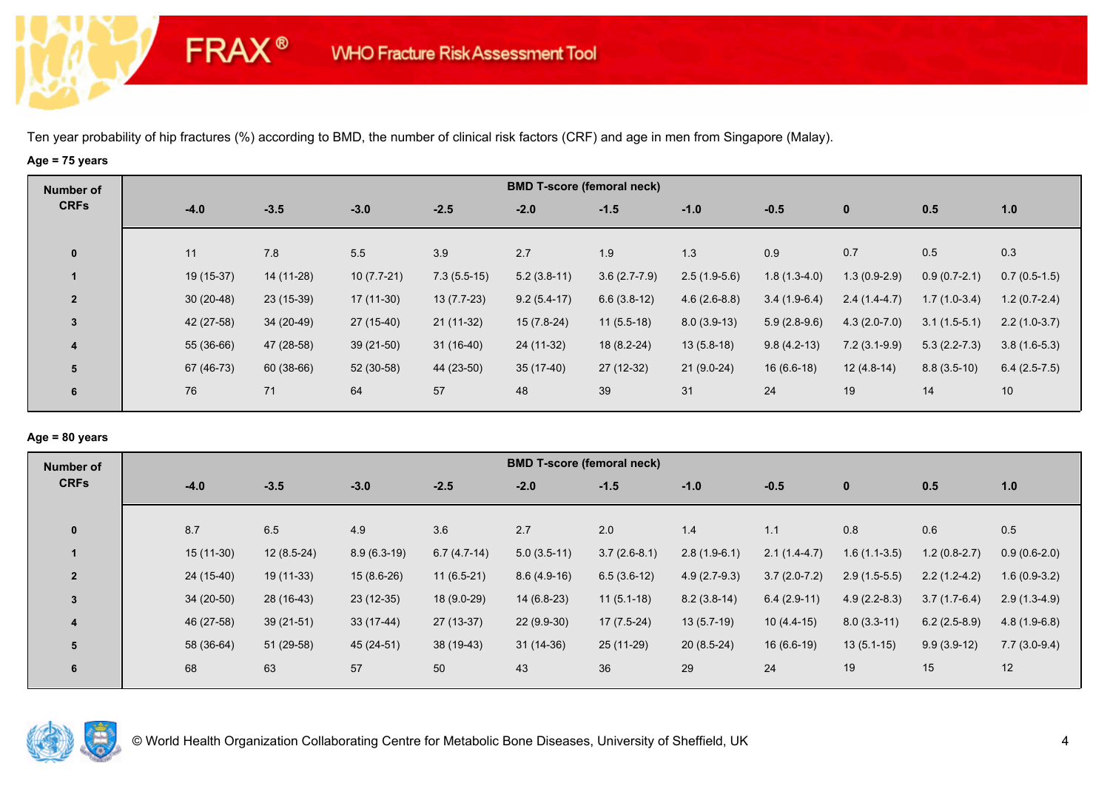### **Age = 75 years**

**FRAX®** 

| Number of               |             |            |              |               |               | <b>BMD T-score (femoral neck)</b> |                |                |                |                |                |
|-------------------------|-------------|------------|--------------|---------------|---------------|-----------------------------------|----------------|----------------|----------------|----------------|----------------|
| <b>CRFs</b>             | $-4.0$      | $-3.5$     | $-3.0$       | $-2.5$        | $-2.0$        | $-1.5$                            | $-1.0$         | $-0.5$         | $\mathbf{0}$   | 0.5            | 1.0            |
| $\bf{0}$                | 11          | 7.8        | 5.5          | 3.9           | 2.7           | 1.9                               | 1.3            | 0.9            | 0.7            | 0.5            | 0.3            |
|                         | 19 (15-37)  | 14 (11-28) | $10(7.7-21)$ | $7.3(5.5-15)$ | $5.2(3.8-11)$ | $3.6(2.7-7.9)$                    | $2.5(1.9-5.6)$ | $1.8(1.3-4.0)$ | $1.3(0.9-2.9)$ | $0.9(0.7-2.1)$ | $0.7(0.5-1.5)$ |
| $\overline{2}$          | $30(20-48)$ | 23 (15-39) | 17 (11-30)   | $13(7.7-23)$  | $9.2(5.4-17)$ | $6.6(3.8-12)$                     | $4.6(2.6-8.8)$ | $3.4(1.9-6.4)$ | $2.4(1.4-4.7)$ | $1.7(1.0-3.4)$ | $1.2(0.7-2.4)$ |
| 3                       | 42 (27-58)  | 34 (20-49) | 27 (15-40)   | $21(11-32)$   | $15(7.8-24)$  | $11(5.5-18)$                      | $8.0(3.9-13)$  | $5.9(2.8-9.6)$ | $4.3(2.0-7.0)$ | $3.1(1.5-5.1)$ | $2.2(1.0-3.7)$ |
| $\overline{\mathbf{4}}$ | 55 (36-66)  | 47 (28-58) | $39(21-50)$  | $31(16-40)$   | 24 (11-32)    | 18 (8.2-24)                       | $13(5.8-18)$   | $9.8(4.2-13)$  | $7.2(3.1-9.9)$ | $5.3(2.2-7.3)$ | $3.8(1.6-5.3)$ |
| 5                       | 67 (46-73)  | 60 (38-66) | 52 (30-58)   | 44 (23-50)    | $35(17-40)$   | $27(12-32)$                       | $21(9.0-24)$   | $16(6.6-18)$   | $12(4.8-14)$   | $8.8(3.5-10)$  | $6.4(2.5-7.5)$ |
| 6                       | 76          | 71         | 64           | 57            | 48            | 39                                | 31             | 24             | 19             | 14             | 10             |

# **Age = 80 years**

| Number of      |             |              |               |               |               | <b>BMD T-score (femoral neck)</b> |                |                |                |                |                |
|----------------|-------------|--------------|---------------|---------------|---------------|-----------------------------------|----------------|----------------|----------------|----------------|----------------|
| <b>CRFs</b>    | $-4.0$      | $-3.5$       | $-3.0$        | $-2.5$        | $-2.0$        | $-1.5$                            | $-1.0$         | $-0.5$         | $\mathbf{0}$   | 0.5            | 1.0            |
|                |             |              |               |               |               |                                   |                |                |                |                |                |
| $\mathbf{0}$   | 8.7         | 6.5          | 4.9           | 3.6           | 2.7           | 2.0                               | 1.4            | 1.1            | 0.8            | 0.6            | 0.5            |
|                | $15(11-30)$ | $12(8.5-24)$ | $8.9(6.3-19)$ | $6.7(4.7-14)$ | $5.0(3.5-11)$ | $3.7(2.6-8.1)$                    | $2.8(1.9-6.1)$ | $2.1(1.4-4.7)$ | $1.6(1.1-3.5)$ | $1.2(0.8-2.7)$ | $0.9(0.6-2.0)$ |
| $\overline{2}$ | $24(15-40)$ | $19(11-33)$  | $15(8.6-26)$  | $11(6.5-21)$  | $8.6(4.9-16)$ | $6.5(3.6-12)$                     | $4.9(2.7-9.3)$ | $3.7(2.0-7.2)$ | $2.9(1.5-5.5)$ | $2.2(1.2-4.2)$ | $1.6(0.9-3.2)$ |
| $\overline{3}$ | $34(20-50)$ | 28 (16-43)   | $23(12-35)$   | 18 (9.0-29)   | $14(6.8-23)$  | $11(5.1-18)$                      | $8.2(3.8-14)$  | $6.4(2.9-11)$  | $4.9(2.2-8.3)$ | $3.7(1.7-6.4)$ | $2.9(1.3-4.9)$ |
| 4              | 46 (27-58)  | $39(21-51)$  | $33(17-44)$   | $27(13-37)$   | $22(9.9-30)$  | $17(7.5-24)$                      | $13(5.7-19)$   | $10(4.4-15)$   | $8.0(3.3-11)$  | $6.2(2.5-8.9)$ | $4.8(1.9-6.8)$ |
| 5              | 58 (36-64)  | $51(29-58)$  | 45 (24-51)    | 38 (19-43)    | $31(14-36)$   | $25(11-29)$                       | $20(8.5-24)$   | $16(6.6-19)$   | $13(5.1-15)$   | $9.9(3.9-12)$  | $7.7(3.0-9.4)$ |
| 6              | 68          | 63           | 57            | 50            | 43            | 36                                | 29             | 24             | 19             | 15             | 12             |
|                |             |              |               |               |               |                                   |                |                |                |                |                |